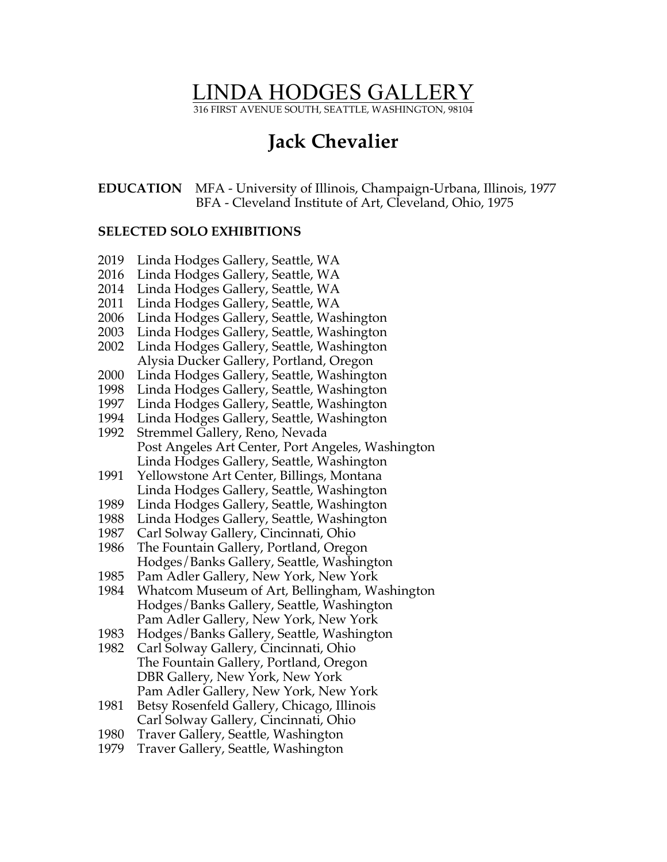# LINDA HODGES GALLERY

316 FIRST AVENUE SOUTH, SEATTLE, WASHINGTON, 98104

## **Jack Chevalier**

**EDUCATION** MFA - University of Illinois, Champaign-Urbana, Illinois, 1977 BFA - Cleveland Institute of Art, Cleveland, Ohio, 1975

#### **SELECTED SOLO EXHIBITIONS**

- 2019 Linda Hodges Gallery, Seattle, WA
- 2016 Linda Hodges Gallery, Seattle, WA
- 2014 Linda Hodges Gallery, Seattle, WA
- 2011 Linda Hodges Gallery, Seattle, WA
- 2006 Linda Hodges Gallery, Seattle, Washington
- 2003 Linda Hodges Gallery, Seattle, Washington
- 2002 Linda Hodges Gallery, Seattle, Washington Alysia Ducker Gallery, Portland, Oregon
- 2000 Linda Hodges Gallery, Seattle, Washington
- 1998 Linda Hodges Gallery, Seattle, Washington
- 1997 Linda Hodges Gallery, Seattle, Washington
- 1994 Linda Hodges Gallery, Seattle, Washington
- 1992 Stremmel Gallery, Reno, Nevada Post Angeles Art Center, Port Angeles, Washington Linda Hodges Gallery, Seattle, Washington
- 1991 Yellowstone Art Center, Billings, Montana Linda Hodges Gallery, Seattle, Washington
- 1989 Linda Hodges Gallery, Seattle, Washington
- 1988 Linda Hodges Gallery, Seattle, Washington
- 1987 Carl Solway Gallery, Cincinnati, Ohio
- 1986 The Fountain Gallery, Portland, Oregon Hodges/Banks Gallery, Seattle, Washington
- 1985 Pam Adler Gallery, New York, New York
- 1984 Whatcom Museum of Art, Bellingham, Washington Hodges/Banks Gallery, Seattle, Washington Pam Adler Gallery, New York, New York
- 1983 Hodges/Banks Gallery, Seattle, Washington
- 1982 Carl Solway Gallery, Cincinnati, Ohio The Fountain Gallery, Portland, Oregon DBR Gallery, New York, New York Pam Adler Gallery, New York, New York
- 1981 Betsy Rosenfeld Gallery, Chicago, Illinois Carl Solway Gallery, Cincinnati, Ohio
- 1980 Traver Gallery, Seattle, Washington
- 1979 Traver Gallery, Seattle, Washington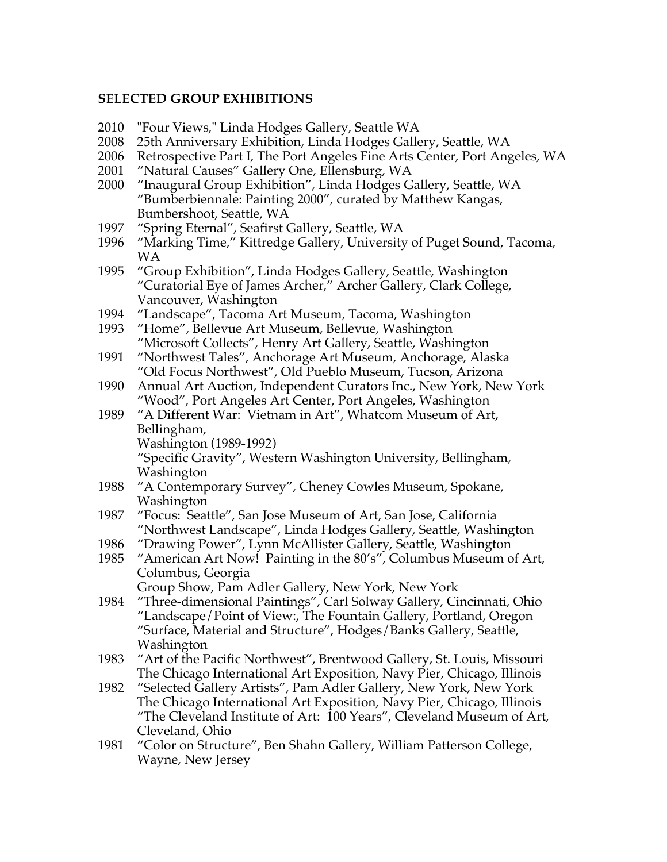### **SELECTED GROUP EXHIBITIONS**

- 2010 "Four Views," Linda Hodges Gallery, Seattle WA
- 2008 25th Anniversary Exhibition, Linda Hodges Gallery, Seattle, WA
- 2006 Retrospective Part I, The Port Angeles Fine Arts Center, Port Angeles, WA
- 2001 "Natural Causes" Gallery One, Ellensburg, WA
- 2000 "Inaugural Group Exhibition", Linda Hodges Gallery, Seattle, WA "Bumberbiennale: Painting 2000", curated by Matthew Kangas, Bumbershoot, Seattle, WA
- 1997 "Spring Eternal", Seafirst Gallery, Seattle, WA
- 1996 "Marking Time," Kittredge Gallery, University of Puget Sound, Tacoma, WA
- 1995 "Group Exhibition", Linda Hodges Gallery, Seattle, Washington "Curatorial Eye of James Archer," Archer Gallery, Clark College, Vancouver, Washington
- 1994 "Landscape", Tacoma Art Museum, Tacoma, Washington
- 1993 "Home", Bellevue Art Museum, Bellevue, Washington "Microsoft Collects", Henry Art Gallery, Seattle, Washington
- 1991 "Northwest Tales", Anchorage Art Museum, Anchorage, Alaska "Old Focus Northwest", Old Pueblo Museum, Tucson, Arizona
- 1990 Annual Art Auction, Independent Curators Inc., New York, New York "Wood", Port Angeles Art Center, Port Angeles, Washington
- 1989 "A Different War: Vietnam in Art", Whatcom Museum of Art, Bellingham, Washington (1989-1992)

"Specific Gravity", Western Washington University, Bellingham, Washington

- 1988 "A Contemporary Survey", Cheney Cowles Museum, Spokane, Washington
- 1987 "Focus: Seattle", San Jose Museum of Art, San Jose, California "Northwest Landscape", Linda Hodges Gallery, Seattle, Washington
- 1986 "Drawing Power", Lynn McAllister Gallery, Seattle, Washington
- 1985 "American Art Now! Painting in the 80's", Columbus Museum of Art, Columbus, Georgia

Group Show, Pam Adler Gallery, New York, New York

- 1984 "Three-dimensional Paintings", Carl Solway Gallery, Cincinnati, Ohio "Landscape/Point of View:, The Fountain Gallery, Portland, Oregon "Surface, Material and Structure", Hodges/Banks Gallery, Seattle, Washington
- 1983 "Art of the Pacific Northwest", Brentwood Gallery, St. Louis, Missouri The Chicago International Art Exposition, Navy Pier, Chicago, Illinois
- 1982 "Selected Gallery Artists", Pam Adler Gallery, New York, New York The Chicago International Art Exposition, Navy Pier, Chicago, Illinois "The Cleveland Institute of Art: 100 Years", Cleveland Museum of Art, Cleveland, Ohio
- 1981 "Color on Structure", Ben Shahn Gallery, William Patterson College, Wayne, New Jersey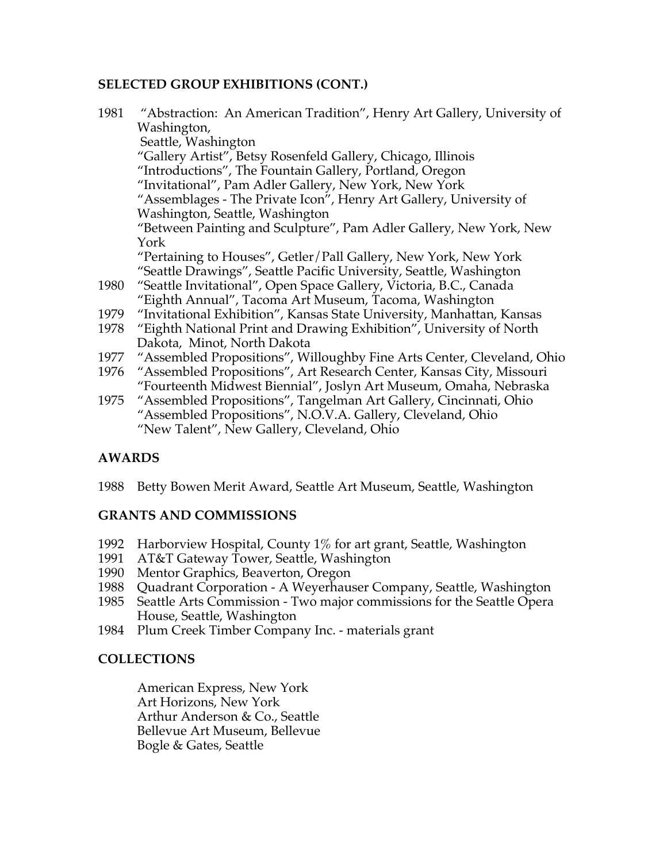### **SELECTED GROUP EXHIBITIONS (CONT.)**

| 1981 | "Abstraction: An American Tradition", Henry Art Gallery, University of |
|------|------------------------------------------------------------------------|
|      | Washington,                                                            |
|      | Seattle, Washington                                                    |
|      | "Gallery Artist", Betsy Rosenfeld Gallery, Chicago, Illinois           |
|      | "Introductions", The Fountain Gallery, Portland, Oregon                |
|      | "Invitational", Pam Adler Gallery, New York, New York                  |
|      | "Assemblages - The Private Icon", Henry Art Gallery, University of     |
|      | Washington, Seattle, Washington                                        |
|      | "Between Painting and Sculpture", Pam Adler Gallery, New York, New     |
|      | York                                                                   |
|      | "Pertaining to Houses", Getler/Pall Gallery, New York, New York        |
|      | "Seattle Drawings", Seattle Pacific University, Seattle, Washington    |
| 1980 | "Seattle Invitational", Open Space Gallery, Victoria, B.C., Canada     |
|      | "Eighth Annual", Tacoma Art Museum, Tacoma, Washington                 |
| 1979 | "Invitational Exhibition", Kansas State University, Manhattan, Kansas  |
| 1978 | "Eighth National Print and Drawing Exhibition", University of North    |
|      | Dakota, Minot, North Dakota                                            |
| 1977 | "Assembled Propositions", Willoughby Fine Arts Center, Cleveland, Ohio |
| 1976 | "Assembled Propositions", Art Research Center, Kansas City, Missouri   |
|      | "Fourteenth Midwest Biennial", Joslyn Art Museum, Omaha, Nebraska      |
| 1975 | "Assembled Propositions", Tangelman Art Gallery, Cincinnati, Ohio      |
|      | "Assembled Propositions", N.O.V.A. Gallery, Cleveland, Ohio            |
|      | "New Talent", New Gallery, Cleveland, Ohio                             |

## **AWARDS**

1988 Betty Bowen Merit Award, Seattle Art Museum, Seattle, Washington

### **GRANTS AND COMMISSIONS**

- 1992 Harborview Hospital, County 1% for art grant, Seattle, Washington
- 1991 AT&T Gateway Tower, Seattle, Washington
- 1990 Mentor Graphics, Beaverton, Oregon
- 1988 Quadrant Corporation A Weyerhauser Company, Seattle, Washington
- 1985 Seattle Arts Commission Two major commissions for the Seattle Opera House, Seattle, Washington
- 1984 Plum Creek Timber Company Inc. materials grant

### **COLLECTIONS**

American Express, New York Art Horizons, New York Arthur Anderson & Co., Seattle Bellevue Art Museum, Bellevue Bogle & Gates, Seattle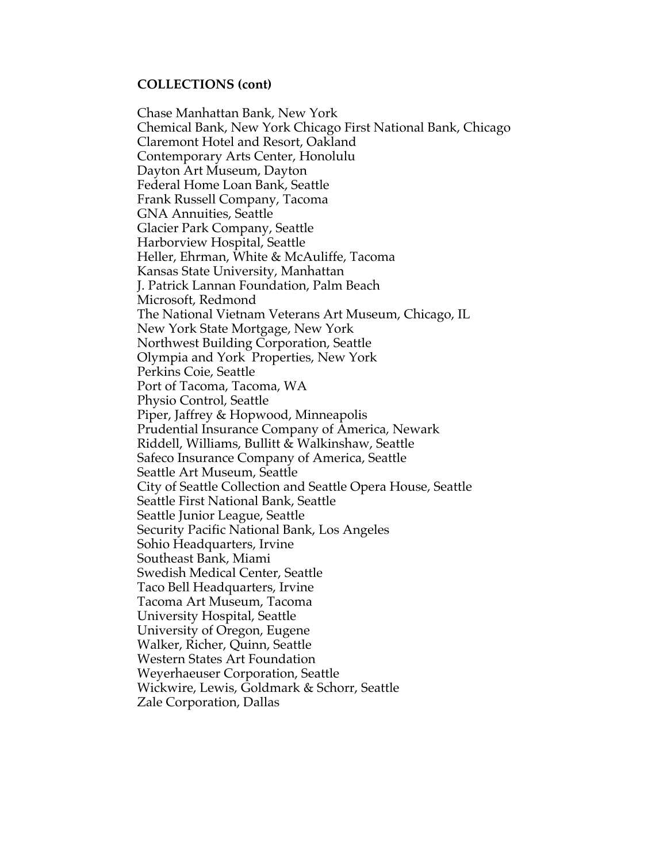#### **COLLECTIONS (cont)**

Chase Manhattan Bank, New York Chemical Bank, New York Chicago First National Bank, Chicago Claremont Hotel and Resort, Oakland Contemporary Arts Center, Honolulu Dayton Art Museum, Dayton Federal Home Loan Bank, Seattle Frank Russell Company, Tacoma GNA Annuities, Seattle Glacier Park Company, Seattle Harborview Hospital, Seattle Heller, Ehrman, White & McAuliffe, Tacoma Kansas State University, Manhattan J. Patrick Lannan Foundation, Palm Beach Microsoft, Redmond The National Vietnam Veterans Art Museum, Chicago, IL New York State Mortgage, New York Northwest Building Corporation, Seattle Olympia and York Properties, New York Perkins Coie, Seattle Port of Tacoma, Tacoma, WA Physio Control, Seattle Piper, Jaffrey & Hopwood, Minneapolis Prudential Insurance Company of America, Newark Riddell, Williams, Bullitt & Walkinshaw, Seattle Safeco Insurance Company of America, Seattle Seattle Art Museum, Seattle City of Seattle Collection and Seattle Opera House, Seattle Seattle First National Bank, Seattle Seattle Junior League, Seattle Security Pacific National Bank, Los Angeles Sohio Headquarters, Irvine Southeast Bank, Miami Swedish Medical Center, Seattle Taco Bell Headquarters, Irvine Tacoma Art Museum, Tacoma University Hospital, Seattle University of Oregon, Eugene Walker, Richer, Quinn, Seattle Western States Art Foundation Weyerhaeuser Corporation, Seattle Wickwire, Lewis, Goldmark & Schorr, Seattle Zale Corporation, Dallas